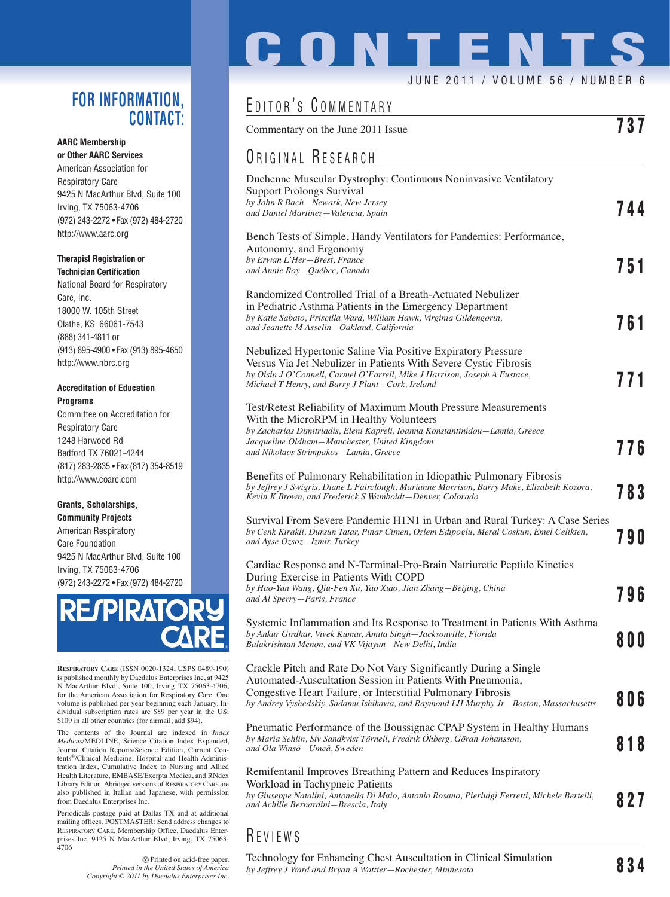### **FOR INFORMATION, CONTACT:**

#### **AARC Membership or Other AARC Services**

American Association for Respiratory Care 9425 N MacArthur Blvd, Suite 100 Irving, TX 75063-4706 (972) 243-2272 • Fax (972) 484-2720 http://www.aarc.org

#### **Therapist Registration or Technician Certification**

National Board for Respiratory Care, Inc. 18000 W. 105th Street Olathe, KS 66061-7543 (888) 341-4811 or (913) 895-4900 • Fax (913) 895-4650 http://www.nbrc.org

#### **Accreditation of Education Programs**

Committee on Accreditation for Respiratory Care 1248 Harwood Rd Bedford TX 76021-4244 (817) 283-2835 • Fax (817) 354-8519 http://www.coarc.com

#### **Grants, Scholarships, Community Projects**

American Respiratory Care Foundation 9425 N MacArthur Blvd, Suite 100 Irving, TX 75063-4706 (972) 243-2272 • Fax (972) 484-2720



**RESPIRATORY CARE** (ISSN 0020-1324, USPS 0489-190) is published monthly by Daedalus Enterprises Inc, at 9425 N MacArthur Blvd., Suite 100, Irving, TX 75063-4706, for the American Association for Respiratory Care. One volume is published per year beginning each January. Individual subscription rates are \$89 per year in the US; \$109 in all other countries (for airmail, add \$94).

The contents of the Journal are indexed in *Index Medicus*/MEDLINE, Science Citation Index Expanded, Journal Citation Reports/Science Edition, Current Contents®/Clinical Medicine, Hospital and Health Administration Index, Cumulative Index to Nursing and Allied Health Literature, EMBASE/Exerpta Medica, and RNdex Library Edition. Abridged versions of RESPIRATORY CARE are also published in Italian and Japanese, with permission from Daedalus Enterprises Inc.

Periodicals postage paid at Dallas TX and at additional mailing offices. POSTMASTER: Send address changes to RESPIRATORY CARE, Membership Office, Daedalus Enterprises Inc, 9425 N MacArthur Blvd, Irving, TX 75063- 4706

> Printed on acid-free paper. *Printed in the United States of America Copyright © 2011 by Daedalus Enterprises Inc.*

# **CONTENT** JUNE 2011 / VOLUME 56 / NUMBER 6

## EDITOR'S COMMENTARY

| Commentary on the June 2011 Issue                                                                                                                                                                                                                                                       | 737   |
|-----------------------------------------------------------------------------------------------------------------------------------------------------------------------------------------------------------------------------------------------------------------------------------------|-------|
| ORIGINAL RESEARCH                                                                                                                                                                                                                                                                       |       |
| Duchenne Muscular Dystrophy: Continuous Noninvasive Ventilatory<br><b>Support Prolongs Survival</b><br>by John R Bach-Newark, New Jersey<br>and Daniel Martinez-Valencia, Spain                                                                                                         | 744   |
| Bench Tests of Simple, Handy Ventilators for Pandemics: Performance,<br>Autonomy, and Ergonomy<br>by Erwan L'Her-Brest, France<br>and Annie Roy-Québec, Canada                                                                                                                          | 751   |
| Randomized Controlled Trial of a Breath-Actuated Nebulizer<br>in Pediatric Asthma Patients in the Emergency Department<br>by Katie Sabato, Priscilla Ward, William Hawk, Virginia Gildengorin,<br>and Jeanette M Asselin–Oakland, California                                            | 761   |
| Nebulized Hypertonic Saline Via Positive Expiratory Pressure<br>Versus Via Jet Nebulizer in Patients With Severe Cystic Fibrosis<br>by Oisin J O'Connell, Carmel O'Farrell, Mike J Harrison, Joseph A Eustace,<br>Michael T Henry, and Barry J Plant-Cork, Ireland                      | 771   |
| Test/Retest Reliability of Maximum Mouth Pressure Measurements<br>With the MicroRPM in Healthy Volunteers<br>by Zacharias Dimitriadis, Eleni Kapreli, Ioanna Konstantinidou-Lamia, Greece<br>Jacqueline Oldham–Manchester, United Kingdom<br>and Nikolaos Strimpakos–Lamia, Greece      | 776   |
| Benefits of Pulmonary Rehabilitation in Idiopathic Pulmonary Fibrosis<br>by Jeffrey J Swigris, Diane L Fairclough, Marianne Morrison, Barry Make, Elizabeth Kozora,<br>Kevin K Brown, and Frederick S Wamboldt-Denver, Colorado                                                         | 783   |
| Survival From Severe Pandemic H1N1 in Urban and Rural Turkey: A Case Series<br>by Cenk Kirakli, Dursun Tatar, Pinar Cimen, Ozlem Edipoglu, Meral Coskun, Emel Celikten,<br>and Ayse Ozsoz-Izmir, Turkey                                                                                 | 790   |
| Cardiac Response and N-Terminal-Pro-Brain Natriuretic Peptide Kinetics<br>During Exercise in Patients With COPD<br>by Hao-Yan Wang, Qiu-Fen Xu, Yao Xiao, Jian Zhang-Beijing, China<br>and Al Sperry–Paris, France                                                                      | 796   |
| Systemic Inflammation and Its Response to Treatment in Patients With Asthma<br>by Ankur Girdhar, Vivek Kumar, Amita Singh-Jacksonville, Florida<br>Balakrishnan Menon, and VK Vijayan—New Delhi, India                                                                                  | 8 O O |
| Crackle Pitch and Rate Do Not Vary Significantly During a Single<br>Automated-Auscultation Session in Patients With Pneumonia,<br>Congestive Heart Failure, or Interstitial Pulmonary Fibrosis<br>by Andrey Vyshedskiy, Sadamu Ishikawa, and Raymond LH Murphy Jr-Boston, Massachusetts | 806   |
| Pneumatic Performance of the Boussignac CPAP System in Healthy Humans<br>by Maria Sehlin, Siv Sandkvist Törnell, Fredrik Öhberg, Göran Johansson,<br>and Ola Winsö–Umeå, Sweden                                                                                                         | 818   |
| Remifentanil Improves Breathing Pattern and Reduces Inspiratory<br>Workload in Tachypneic Patients<br>by Giuseppe Natalini, Antonella Di Maio, Antonio Rosano, Pierluigi Ferretti, Michele Bertelli,<br>and Achille Bernardini-Brescia, Italy                                           | 827   |
|                                                                                                                                                                                                                                                                                         |       |

R EVIEWS

Technology for Enhancing Chest Auscultation in Clinical Simulation *by Jeffrey J Ward and Bryan A Wattier—Rochester, Minnesota* **834**